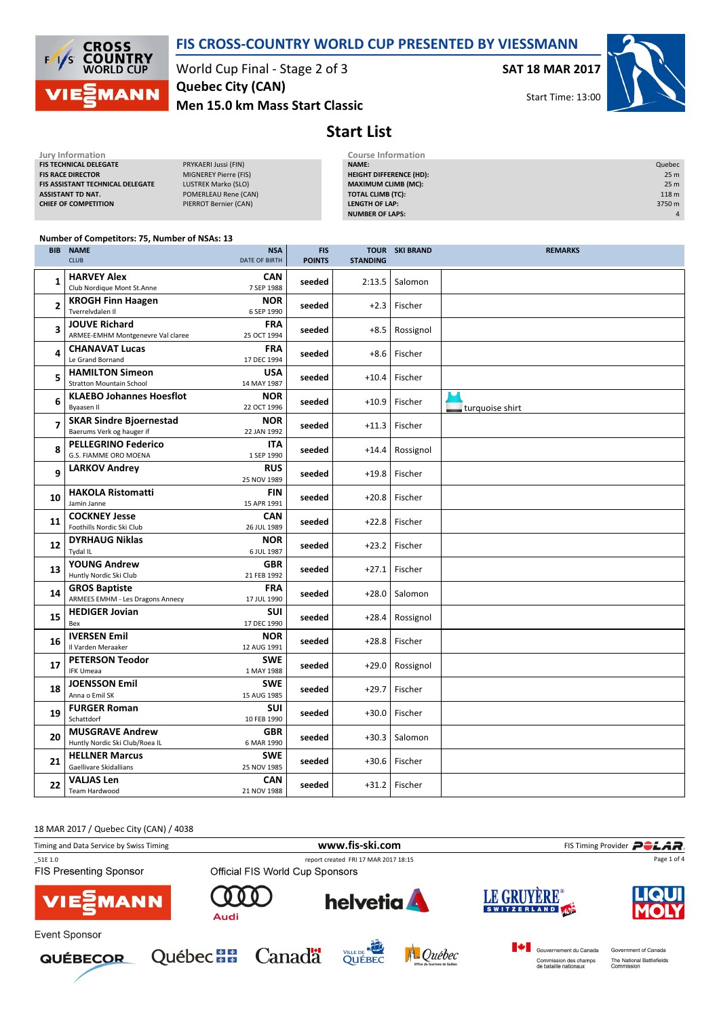

#### FIS CROSS-COUNTRY WORLD CUP PRESENTED BY VIESSMANN

World Cup Final - Stage 2 of 3 Men 15.0 km Mass Start Classic Quebec City (CAN)

SAT 18 MAR 2017

Start Time: 13:00



Start List

| Jury Information                 |                       | <b>Course Information</b>      |                  |
|----------------------------------|-----------------------|--------------------------------|------------------|
| <b>FIS TECHNICAL DELEGATE</b>    | PRYKAERI Jussi (FIN)  | <b>NAME:</b>                   | Quebec           |
| <b>FIS RACE DIRECTOR</b>         | MIGNEREY Pierre (FIS) | <b>HEIGHT DIFFERENCE (HD):</b> | 25 <sub>m</sub>  |
| FIS ASSISTANT TECHNICAL DELEGATE | LUSTREK Marko (SLO)   | <b>MAXIMUM CLIMB (MC):</b>     | 25 <sub>m</sub>  |
| ASSISTANT TD NAT.                | POMERLEAU Rene (CAN)  | <b>TOTAL CLIMB (TC):</b>       | 118 <sub>m</sub> |
| <b>CHIEF OF COMPETITION</b>      | PIERROT Bernier (CAN) | LENGTH OF LAP:                 | 3750 m           |
|                                  |                       | <b>NUMBER OF LAPS:</b>         | $\overline{4}$   |
|                                  |                       |                                |                  |

#### Number of Competitors: 75, Number of NSAs: 13

| <b>BIB</b>     | <b>NAME</b><br><b>CLUB</b>                                      | <b>NSA</b><br>DATE OF BIRTH | <b>FIS</b><br><b>POINTS</b> | <b>STANDING</b> | <b>TOUR SKI BRAND</b> | <b>REMARKS</b>  |
|----------------|-----------------------------------------------------------------|-----------------------------|-----------------------------|-----------------|-----------------------|-----------------|
| $\mathbf{1}$   | <b>HARVEY Alex</b><br>Club Nordique Mont St.Anne                | CAN<br>7 SEP 1988           | seeded                      | 2:13.5          | Salomon               |                 |
| $\overline{2}$ | <b>KROGH Finn Haagen</b><br>Tverrelydalen II                    | <b>NOR</b><br>6 SEP 1990    | seeded                      | $+2.3$          | Fischer               |                 |
| 3              | <b>JOUVE Richard</b><br>ARMEE-EMHM Montgenevre Val claree       | <b>FRA</b><br>25 OCT 1994   | seeded                      | $+8.5$          | Rossignol             |                 |
| 4              | <b>CHANAVAT Lucas</b><br>Le Grand Bornand                       | <b>FRA</b><br>17 DEC 1994   | seeded                      | $+8.6$          | Fischer               |                 |
| 5              | <b>HAMILTON Simeon</b><br><b>Stratton Mountain School</b>       | USA<br>14 MAY 1987          | seeded                      | $+10.4$         | Fischer               |                 |
| 6              | <b>KLAEBO Johannes Hoesflot</b><br>Byaasen II                   | <b>NOR</b><br>22 OCT 1996   | seeded                      | $+10.9$         | Fischer               | turquoise shirt |
| $\overline{7}$ | <b>SKAR Sindre Bioernestad</b><br>Baerums Verk og hauger if     | <b>NOR</b><br>22 JAN 1992   | seeded                      | $+11.3$         | Fischer               |                 |
| 8              | <b>PELLEGRINO Federico</b><br>G.S. FIAMME ORO MOENA             | <b>ITA</b><br>1 SEP 1990    | seeded                      | $+14.4$         | Rossignol             |                 |
| 9              | <b>LARKOV Andrey</b>                                            | <b>RUS</b><br>25 NOV 1989   | seeded                      | $+19.8$         | Fischer               |                 |
| 10             | <b>HAKOLA Ristomatti</b><br>Jamin Janne                         | <b>FIN</b><br>15 APR 1991   | seeded                      | $+20.8$         | Fischer               |                 |
| 11             | <b>COCKNEY Jesse</b><br>Foothills Nordic Ski Club               | <b>CAN</b><br>26 JUL 1989   | seeded                      | $+22.8$         | Fischer               |                 |
| 12             | <b>DYRHAUG Niklas</b><br>Tydal IL                               | <b>NOR</b><br>6 JUL 1987    | seeded                      | $+23.2$         | Fischer               |                 |
| 13             | <b>YOUNG Andrew</b><br>Huntly Nordic Ski Club                   | <b>GBR</b><br>21 FEB 1992   | seeded                      | $+27.1$         | Fischer               |                 |
| 14             | <b>GROS Baptiste</b><br><b>ARMEES EMHM - Les Dragons Annecy</b> | <b>FRA</b><br>17 JUL 1990   | seeded                      | $+28.0$         | Salomon               |                 |
| 15             | <b>HEDIGER Jovian</b><br>Bex                                    | <b>SUI</b><br>17 DEC 1990   | seeded                      | $+28.4$         | Rossignol             |                 |
| 16             | <b>IVERSEN Emil</b><br>Il Varden Meraaker                       | <b>NOR</b><br>12 AUG 1991   | seeded                      | $+28.8$         | Fischer               |                 |
| 17             | <b>PETERSON Teodor</b><br><b>IFK Umeaa</b>                      | <b>SWE</b><br>1 MAY 1988    | seeded                      | $+29.0$         | Rossignol             |                 |
| 18             | <b>JOENSSON Emil</b><br>Anna o Emil SK                          | <b>SWE</b><br>15 AUG 1985   | seeded                      | $+29.7$         | Fischer               |                 |
| 19             | <b>FURGER Roman</b><br>Schattdorf                               | <b>SUI</b><br>10 FEB 1990   | seeded                      | $+30.0$         | Fischer               |                 |
| 20             | <b>MUSGRAVE Andrew</b><br>Huntly Nordic Ski Club/Roea IL        | <b>GBR</b><br>6 MAR 1990    | seeded                      | $+30.3$         | Salomon               |                 |
| 21             | <b>HELLNER Marcus</b><br>Gaellivare Skidallians                 | <b>SWE</b><br>25 NOV 1985   | seeded                      | $+30.6$         | Fischer               |                 |
| 22             | <b>VALJAS Len</b><br><b>Team Hardwood</b>                       | <b>CAN</b><br>21 NOV 1988   | seeded                      | $+31.2$         | Fischer               |                 |

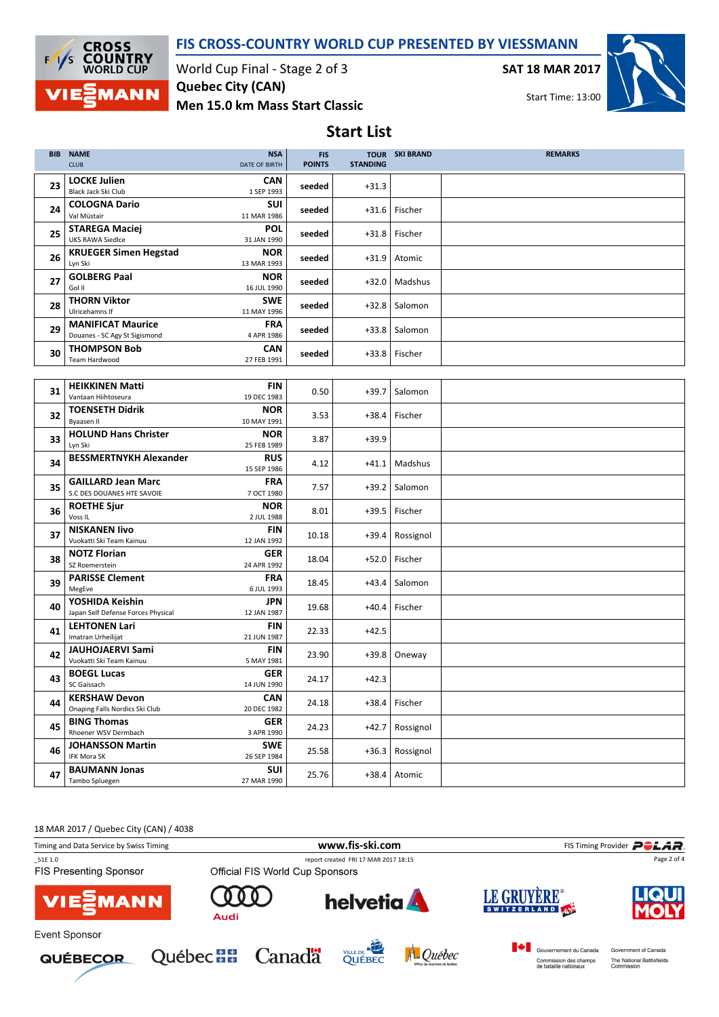

### FIS CROSS-COUNTRY WORLD CUP PRESENTED BY VIESSMANN

Start List

World Cup Final - Stage 2 of 3 Men 15.0 km Mass Start Classic Quebec City (CAN)

SAT 18 MAR 2017



| <b>BIB</b> | <b>NAME</b><br><b>CLUB</b>                                | <b>NSA</b><br><b>DATE OF BIRTH</b> | <b>FIS</b><br><b>POINTS</b> | <b>STANDING</b> | <b>TOUR SKI BRAND</b> | <b>REMARKS</b> |
|------------|-----------------------------------------------------------|------------------------------------|-----------------------------|-----------------|-----------------------|----------------|
| 23         | <b>LOCKE Julien</b><br>Black Jack Ski Club                | <b>CAN</b><br>1 SEP 1993           | seeded                      | $+31.3$         |                       |                |
| 24         | <b>COLOGNA Dario</b><br>Val Müstair                       | <b>SUI</b><br>11 MAR 1986          | seeded                      | $+31.6$         | Fischer               |                |
| 25         | <b>STAREGA Maciej</b><br><b>UKS RAWA Siedlce</b>          | <b>POL</b><br>31 JAN 1990          | seeded                      | $+31.8$         | Fischer               |                |
| 26         | <b>KRUEGER Simen Hegstad</b><br>Lyn Ski                   | <b>NOR</b><br>13 MAR 1993          | seeded                      | $+31.9$         | Atomic                |                |
| 27         | <b>GOLBERG Paal</b><br>Gol II                             | <b>NOR</b><br>16 JUL 1990          | seeded                      | $+32.0$         | Madshus               |                |
| 28         | <b>THORN Viktor</b><br>Ulricehamns If                     | <b>SWE</b><br>11 MAY 1996          | seeded                      | $+32.8$         | Salomon               |                |
| 29         | <b>MANIFICAT Maurice</b><br>Douanes - SC Agy St Sigismond | <b>FRA</b><br>4 APR 1986           | seeded                      | $+33.8$         | Salomon               |                |
| 30         | <b>THOMPSON Bob</b><br>Team Hardwood                      | <b>CAN</b><br>27 FEB 1991          | seeded                      | $+33.8$         | Fischer               |                |
|            |                                                           |                                    |                             |                 |                       |                |
| 31         | <b>HEIKKINEN Matti</b>                                    | <b>FIN</b>                         | 0.50                        | $+39.7$         | Salomon               |                |
|            | Vantaan Hiihtoseura                                       | 19 DEC 1983                        |                             |                 |                       |                |
| 32         | <b>TOENSETH Didrik</b><br>Byaasen II                      | <b>NOR</b><br>10 MAY 1991          | 3.53                        | $+38.4$         | Fischer               |                |
|            | <b>HOLUND Hans Christer</b>                               | <b>NOR</b>                         |                             |                 |                       |                |
| 33         | Lyn Ski                                                   | 25 FEB 1989                        | 3.87                        | $+39.9$         |                       |                |
| 34         | <b>BESSMERTNYKH Alexander</b>                             | <b>RUS</b><br>15 SEP 1986          | 4.12                        | $+41.1$         | Madshus               |                |
| 35         | <b>GAILLARD Jean Marc</b><br>S.C DES DOUANES HTE SAVOIE   | <b>FRA</b><br>7 OCT 1980           | 7.57                        | $+39.2$         | Salomon               |                |
| 36         | <b>ROETHE Sjur</b><br>Voss <sub>IL</sub>                  | <b>NOR</b><br>2 JUL 1988           | 8.01                        | $+39.5$         | Fischer               |                |
| 37         | <b>NISKANEN livo</b><br>Vuokatti Ski Team Kainuu          | <b>FIN</b><br>12 JAN 1992          | 10.18                       | +39.4           | Rossignol             |                |
| 38         | <b>NOTZ Florian</b><br>SZ Roemerstein                     | <b>GER</b><br>24 APR 1992          | 18.04                       | $+52.0$         | Fischer               |                |
| 39         | <b>PARISSE Clement</b><br>MegEve                          | <b>FRA</b><br>6 JUL 1993           | 18.45                       | $+43.4$         | Salomon               |                |
| 40         | YOSHIDA Keishin<br>Japan Self Defense Forces Physical     | <b>JPN</b><br>12 JAN 1987          | 19.68                       | $+40.4$         | Fischer               |                |
| 41         | <b>LEHTONEN Lari</b><br>Imatran Urheilijat                | <b>FIN</b><br>21 JUN 1987          | 22.33                       | $+42.5$         |                       |                |
| 42         | <b>JAUHOJAERVI Sami</b><br>Vuokatti Ski Team Kainuu       | <b>FIN</b><br>5 MAY 1981           | 23.90                       | $+39.8$         | Oneway                |                |
| 43         | <b>BOEGL Lucas</b><br>SC Gaissach                         | <b>GER</b><br>14 JUN 1990          | 24.17                       | $+42.3$         |                       |                |
| 44         | <b>KERSHAW Devon</b><br>Onaping Falls Nordics Ski Club    | <b>CAN</b><br>20 DEC 1982          | 24.18                       | $+38.4$         | Fischer               |                |
| 45         | <b>BING Thomas</b><br>Rhoener WSV Dermbach                | <b>GER</b><br>3 APR 1990           | 24.23                       | +42.7           | Rossignol             |                |
| 46         | <b>JOHANSSON Martin</b><br>IFK Mora SK                    | <b>SWE</b><br>26 SEP 1984          | 25.58                       | $+36.3$         | Rossignol             |                |
| 47         | <b>BAUMANN Jonas</b><br>Tambo Spluegen                    | <b>SUI</b><br>27 MAR 1990          | 25.76                       |                 | $+38.4$ Atomic        |                |

18 MAR 2017 / Quebec City (CAN) / 4038 Timing and Data Service by Swiss Timing **WWW.fis-Ski.com WWW.fis-Ski.com** FIS Timing Provider PCLAR. \_51E 1.0 report created FRI 17 MAR 2017 18:15 FIS Presenting Sponsor Official FIS World Cup Sponsors LE GRUYÈRE® **helvetia** r **MANN** Audi Event Sponsor Gouvernement du Canada Government of Canada Québec **BB** Canadä VILLE DE A Québec **QUÉBECOR** Commission des champs<br>de bataille nationaux The National Battlefields<br>Commission



Page 2 of 4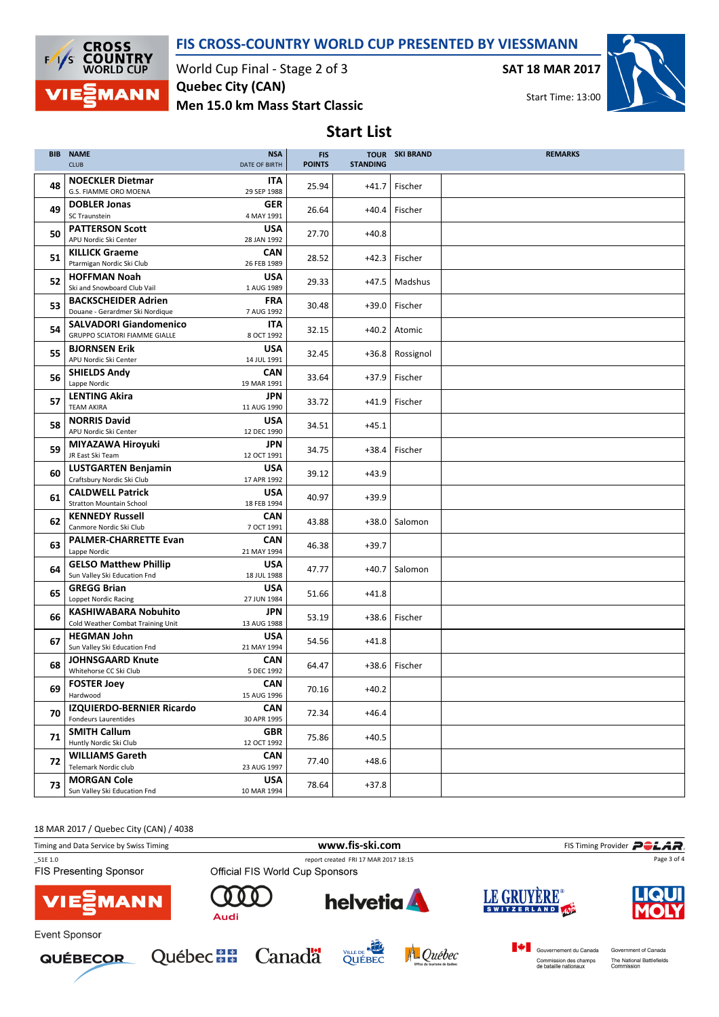

Start List



World Cup Final - Stage 2 of 3 Men 15.0 km Mass Start Classic Quebec City (CAN)

SAT 18 MAR 2017



Start Time: 13:00

| <b>BIB</b> | <b>NAME</b><br><b>CLUB</b>                                            | <b>NSA</b><br>DATE OF BIRTH | <b>FIS</b><br><b>POINTS</b> | <b>STANDING</b> | <b>TOUR SKI BRAND</b> | <b>REMARKS</b> |
|------------|-----------------------------------------------------------------------|-----------------------------|-----------------------------|-----------------|-----------------------|----------------|
| 48         | <b>NOECKLER Dietmar</b><br>G.S. FIAMME ORO MOENA                      | ITA<br>29 SEP 1988          | 25.94                       | $+41.7$         | Fischer               |                |
| 49         | <b>DOBLER Jonas</b><br>SC Traunstein                                  | <b>GER</b><br>4 MAY 1991    | 26.64                       | $+40.4$         | Fischer               |                |
| 50         | <b>PATTERSON Scott</b><br>APU Nordic Ski Center                       | <b>USA</b><br>28 JAN 1992   | 27.70                       | $+40.8$         |                       |                |
| 51         | <b>KILLICK Graeme</b><br>Ptarmigan Nordic Ski Club                    | <b>CAN</b><br>26 FEB 1989   | 28.52                       | $+42.3$         | Fischer               |                |
| 52         | <b>HOFFMAN Noah</b><br>Ski and Snowboard Club Vail                    | <b>USA</b><br>1 AUG 1989    | 29.33                       | $+47.5$         | Madshus               |                |
| 53         | <b>BACKSCHEIDER Adrien</b><br>Douane - Gerardmer Ski Nordigue         | <b>FRA</b><br>7 AUG 1992    | 30.48                       | $+39.0$         | Fischer               |                |
| 54         | <b>SALVADORI Giandomenico</b><br><b>GRUPPO SCIATORI FIAMME GIALLE</b> | ITA<br>8 OCT 1992           | 32.15                       | $+40.2$         | Atomic                |                |
| 55         | <b>BJORNSEN Erik</b><br>APU Nordic Ski Center                         | <b>USA</b><br>14 JUL 1991   | 32.45                       | $+36.8$         | Rossignol             |                |
| 56         | <b>SHIELDS Andy</b><br>Lappe Nordic                                   | <b>CAN</b><br>19 MAR 1991   | 33.64                       | $+37.9$         | Fischer               |                |
| 57         | <b>LENTING Akira</b><br><b>TEAM AKIRA</b>                             | <b>JPN</b><br>11 AUG 1990   | 33.72                       | $+41.9$         | Fischer               |                |
| 58         | <b>NORRIS David</b><br>APU Nordic Ski Center                          | <b>USA</b><br>12 DEC 1990   | 34.51                       | $+45.1$         |                       |                |
| 59         | MIYAZAWA Hiroyuki<br>JR East Ski Team                                 | JPN<br>12 OCT 1991          | 34.75                       | $+38.4$         | Fischer               |                |
| 60         | <b>LUSTGARTEN Benjamin</b><br>Craftsbury Nordic Ski Club              | <b>USA</b><br>17 APR 1992   | 39.12                       | $+43.9$         |                       |                |
| 61         | <b>CALDWELL Patrick</b><br><b>Stratton Mountain School</b>            | <b>USA</b><br>18 FEB 1994   | 40.97                       | $+39.9$         |                       |                |
| 62         | <b>KENNEDY Russell</b><br>Canmore Nordic Ski Club                     | <b>CAN</b><br>7 OCT 1991    | 43.88                       | $+38.0$         | Salomon               |                |
| 63         | <b>PALMER-CHARRETTE Evan</b><br>Lappe Nordic                          | <b>CAN</b><br>21 MAY 1994   | 46.38                       | $+39.7$         |                       |                |
| 64         | <b>GELSO Matthew Phillip</b><br>Sun Valley Ski Education Fnd          | USA<br>18 JUL 1988          | 47.77                       | $+40.7$         | Salomon               |                |
| 65         | <b>GREGG Brian</b><br>Loppet Nordic Racing                            | <b>USA</b><br>27 JUN 1984   | 51.66                       | $+41.8$         |                       |                |
| 66         | <b>KASHIWABARA Nobuhito</b><br>Cold Weather Combat Training Unit      | JPN<br>13 AUG 1988          | 53.19                       | $+38.6$         | Fischer               |                |
| 67         | <b>HEGMAN John</b><br>Sun Valley Ski Education Fnd                    | <b>USA</b><br>21 MAY 1994   | 54.56                       | $+41.8$         |                       |                |
| 68         | <b>JOHNSGAARD Knute</b><br>Whitehorse CC Ski Club                     | <b>CAN</b><br>5 DEC 1992    | 64.47                       | $+38.6$         | Fischer               |                |
| 69         | <b>FOSTER Joey</b><br>Hardwood                                        | <b>CAN</b><br>15 AUG 1996   | 70.16                       | $+40.2$         |                       |                |
| 70         | IZQUIERDO-BERNIER Ricardo<br><b>Fondeurs Laurentides</b>              | <b>CAN</b><br>30 APR 1995   | 72.34                       | $+46.4$         |                       |                |
| 71         | <b>SMITH Callum</b><br>Huntly Nordic Ski Club                         | GBR<br>12 OCT 1992          | 75.86                       | $+40.5$         |                       |                |
| 72         | <b>WILLIAMS Gareth</b><br>Telemark Nordic club                        | <b>CAN</b><br>23 AUG 1997   | 77.40                       | $+48.6$         |                       |                |
| 73         | <b>MORGAN Cole</b><br>Sun Valley Ski Education Fnd                    | <b>USA</b><br>10 MAR 1994   | 78.64                       | $+37.8$         |                       |                |

18 MAR 2017 / Quebec City (CAN) / 4038 Timing and Data Service by Swiss Timing **WWW.fis-Ski.com WWW.fis-Ski.com** FIS Timing Provider **PCLAR** \_51E 1.0 report created FRI 17 MAR 2017 18:15 Page 3 of 4FIS Presenting Sponsor **LE GRUYÈRE helvetia**  $\Omega$ **MANN** SWITZERLAND Audi Event Sponsor Gouvernement du Canada Government of Canada Québec **BB** Canadä VILLE DE NAME A Québec **QUÉBECOR** Commission des champs<br>de bataille nationaux The National Battlefields<br>Commission